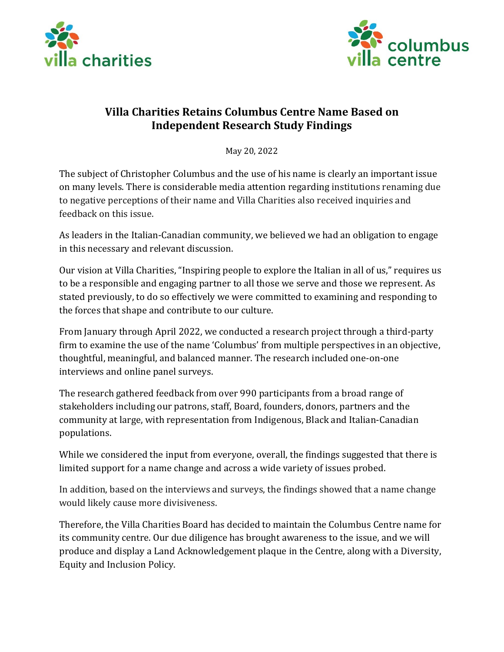



## **Villa Charities Retains Columbus Centre Name Based on Independent Research Study Findings**

May 20, 2022

The subject of Christopher Columbus and the use of his name is clearly an important issue on many levels. There is considerable media attention regarding institutions renaming due to negative perceptions of their name and Villa Charities also received inquiries and feedback on this issue.

As leaders in the Italian-Canadian community, we believed we had an obligation to engage in this necessary and relevant discussion.

Our vision at Villa Charities, "Inspiring people to explore the Italian in all of us," requires us to be a responsible and engaging partner to all those we serve and those we represent. As stated previously, to do so effectively we were committed to examining and responding to the forces that shape and contribute to our culture.

From January through April 2022, we conducted a research project through a third-party firm to examine the use of the name 'Columbus' from multiple perspectives in an objective, thoughtful, meaningful, and balanced manner. The research included one-on-one interviews and online panel surveys.

The research gathered feedback from over 990 participants from a broad range of stakeholders including our patrons, staff, Board, founders, donors, partners and the community at large, with representation from Indigenous, Black and Italian-Canadian populations.

While we considered the input from everyone, overall, the findings suggested that there is limited support for a name change and across a wide variety of issues probed.

In addition, based on the interviews and surveys, the findings showed that a name change would likely cause more divisiveness.

Therefore, the Villa Charities Board has decided to maintain the Columbus Centre name for its community centre. Our due diligence has brought awareness to the issue, and we will produce and display a Land Acknowledgement plaque in the Centre, along with a Diversity, Equity and Inclusion Policy.